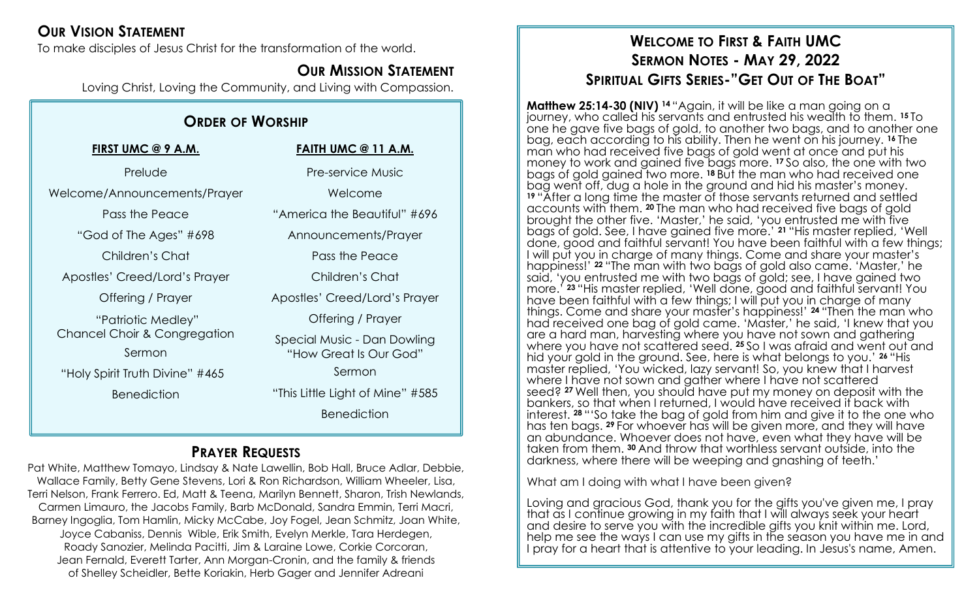## **OUR VISION STATEMENT**

To make disciples of Jesus Christ for the transformation of the world.

## **OUR MISSION STATEMENT**

Loving Christ, Loving the Community, and Living with Compassion.

## **ORDER OF WORSHIP**

| FIRST UMC @ 9 A.M.                      | <b>FAITH UM</b>      |
|-----------------------------------------|----------------------|
| Prelude                                 | Pre-serv             |
| Welcome/Announcements/Prayer            | Wel                  |
| Pass the Peace                          | "America the         |
| "God of The Ages" #698                  | Announce             |
| Children's Chat                         | Pass th              |
| Apostles' Creed/Lord's Prayer           | Childre              |
| Offering / Prayer                       | Apostles' Cre        |
| "Patriotic Medley"                      | <b>Offerin</b>       |
| <b>Chancel Choir &amp; Congregation</b> | <b>Special Music</b> |
| Sermon                                  | "How Grec            |
| "Holy Spirit Truth Divine" #465         | Sei                  |
| <b>Benediction</b>                      | "This Little Ligh    |
|                                         |                      |

#### **IC @ 11 A.M.**

vice Music come  $B$ equtiful"  $#696$ ments/Prayer ie Peace en's Chat ed/Lord's Prayer g / Prayer c - Dan Dowling at Is Our God" rmon ht of Mine"  $#585$ 

**Benediction** 

## **PRAYER REQUESTS**

Pat White, Matthew Tomayo, Lindsay & Nate Lawellin, Bob Hall, Bruce Adlar, Debbie, Wallace Family, Betty Gene Stevens, Lori & Ron Richardson, William Wheeler, Lisa, Terri Nelson, Frank Ferrero. Ed, Matt & Teena, Marilyn Bennett, Sharon, Trish Newlands, Carmen Limauro, the Jacobs Family, Barb McDonald, Sandra Emmin, Terri Macri, Barney Ingoglia, Tom Hamlin, Micky McCabe, Joy Fogel, Jean Schmitz, Joan White, Joyce Cabaniss, Dennis Wible, Erik Smith, Evelyn Merkle, Tara Herdegen, Roady Sanozier, Melinda Pacitti, Jim & Laraine Lowe, Corkie Corcoran, Jean Fernald, Everett Tarter, Ann Morgan-Cronin, and the family & friends of Shelley Scheidler, Bette Koriakin, Herb Gager and Jennifer Adreani

## **WELCOME TO FIRST & FAITH UMC SERMON NOTES - MAY 29, 2022 SPIRITUAL GIFTS SERIES-"GET OUT OF THE BOAT"**

**Matthew 25:14-30 (NIV) <sup>14</sup>** "Again, it will be like a man going on a journey, who called his servants and entrusted his wealth to them. **<sup>15</sup>** To one he gave five bags of gold, to another two bags, and to another one bag, each according to his ability. Then he went on his journey. **<sup>16</sup>** The man who had received five bags of gold went at once and put his money to work and gained five bags more. **<sup>17</sup>** So also, the one with two bags of gold gained two more. **<sup>18</sup>** But the man who had received one bag went off, dug a hole in the ground and hid his master's money. **<sup>19</sup>** "After a long time the master of those servants returned and settled accounts with them. **<sup>20</sup>** The man who had received five bags of gold brought the other five. 'Master,' he said, 'you entrusted me with five bags of gold. See, I have gained five more.' **<sup>21</sup>** "His master replied, 'Well done, good and faithful servant! You have been faithful with a few things; I will put you in charge of many things. Come and share your master's happiness!' **<sup>22</sup>** "The man with two bags of gold also came. 'Master,' he said, 'you entrusted me with two bags of gold; see, I have gained two more.' **<sup>23</sup>** "His master replied, 'Well done, good and faithful servant! You have been faithful with a few things; I will put you in charge of many things. Come and share your master's happiness!' **<sup>24</sup>** "Then the man who had received one bag of gold came. 'Master,' he said, 'I knew that you are a hard man, harvesting where you have not sown and gathering where you have not scattered seed. **<sup>25</sup>** So I was afraid and went out and hid your gold in the ground. See, here is what belongs to you.' **<sup>26</sup>** "His master replied, 'You wicked, lazy servant! So, you knew that I harvest where I have not sown and gather where I have not scattered seed? **<sup>27</sup>** Well then, you should have put my money on deposit with the bankers, so that when I returned, I would have received it back with interest. **<sup>28</sup>** "'So take the bag of gold from him and give it to the one who has ten bags. **<sup>29</sup>** For whoever has will be given more, and they will have an abundance. Whoever does not have, even what they have will be taken from them. **<sup>30</sup>** And throw that worthless servant outside, into the darkness, where there will be weeping and gnashing of teeth.'

What am I doing with what I have been given?

Loving and gracious God, thank you for the gifts you've given me, I pray that as I continue growing in my faith that I will always seek your heart and desire to serve you with the incredible gifts you knit within me. Lord, help me see the ways I can use my gifts in the season you have me in and I pray for a heart that is attentive to your leading. In Jesus's name, Amen.